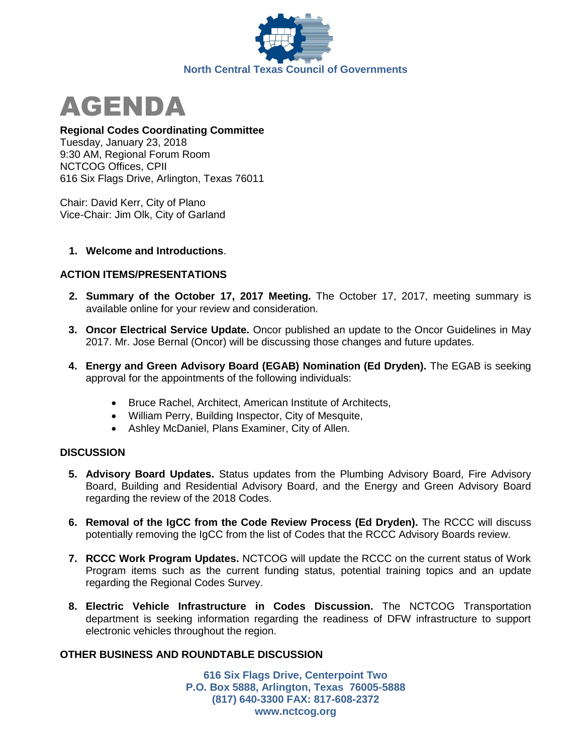



### **Regional Codes Coordinating Committee**

Tuesday, January 23, 2018 9:30 AM, Regional Forum Room NCTCOG Offices, CPII 616 Six Flags Drive, Arlington, Texas 76011

Chair: David Kerr, City of Plano Vice-Chair: Jim Olk, City of Garland

### **1. Welcome and Introductions**.

# **ACTION ITEMS/PRESENTATIONS**

- **2. Summary of the October 17, 2017 Meeting.** The October 17, 2017, meeting summary is available online for your review and consideration.
- **3. Oncor Electrical Service Update.** Oncor published an update to the Oncor Guidelines in May 2017. Mr. Jose Bernal (Oncor) will be discussing those changes and future updates.
- **4. Energy and Green Advisory Board (EGAB) Nomination (Ed Dryden).** The EGAB is seeking approval for the appointments of the following individuals:
	- Bruce Rachel, Architect, American Institute of Architects,
	- William Perry, Building Inspector, City of Mesquite,
	- Ashley McDaniel, Plans Examiner, City of Allen.

# **DISCUSSION**

- **5. Advisory Board Updates.** Status updates from the Plumbing Advisory Board, Fire Advisory Board, Building and Residential Advisory Board, and the Energy and Green Advisory Board regarding the review of the 2018 Codes.
- **6. Removal of the IgCC from the Code Review Process (Ed Dryden).** The RCCC will discuss potentially removing the IgCC from the list of Codes that the RCCC Advisory Boards review.
- **7. RCCC Work Program Updates.** NCTCOG will update the RCCC on the current status of Work Program items such as the current funding status, potential training topics and an update regarding the Regional Codes Survey.
- **8. Electric Vehicle Infrastructure in Codes Discussion.** The NCTCOG Transportation department is seeking information regarding the readiness of DFW infrastructure to support electronic vehicles throughout the region.

# **OTHER BUSINESS AND ROUNDTABLE DISCUSSION**

**616 Six Flags Drive, Centerpoint Two P.O. Box 5888, Arlington, Texas 76005-5888 (817) 640-3300 FAX: 817-608-2372 www.nctcog.org**